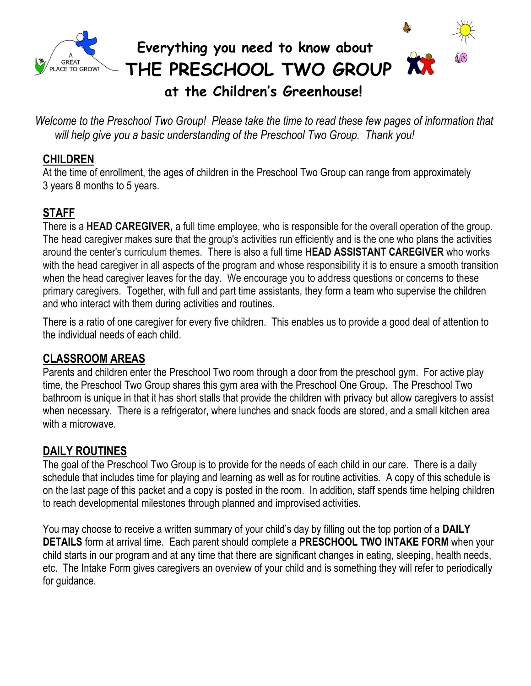

*Welcome to the Preschool Two Group! Please take the time to read these few pages of information that will help give you a basic understanding of the Preschool Two Group. Thank you!*

### **CHILDREN**

At the time of enrollment, the ages of children in the Preschool Two Group can range from approximately 3 years 8 months to 5 years.

## **STAFF**

There is a **HEAD CAREGIVER,** a full time employee, who is responsible for the overall operation of the group. The head caregiver makes sure that the group's activities run efficiently and is the one who plans the activities around the center's curriculum themes. There is also a full time **HEAD ASSISTANT CAREGIVER** who works with the head caregiver in all aspects of the program and whose responsibility it is to ensure a smooth transition when the head caregiver leaves for the day. We encourage you to address questions or concerns to these primary caregivers. Together, with full and part time assistants, they form a team who supervise the children and who interact with them during activities and routines.

There is a ratio of one caregiver for every five children. This enables us to provide a good deal of attention to the individual needs of each child.

#### **CLASSROOM AREAS**

Parents and children enter the Preschool Two room through a door from the preschool gym. For active play time, the Preschool Two Group shares this gym area with the Preschool One Group. The Preschool Two bathroom is unique in that it has short stalls that provide the children with privacy but allow caregivers to assist when necessary. There is a refrigerator, where lunches and snack foods are stored, and a small kitchen area with a microwave.

### **DAILY ROUTINES**

The goal of the Preschool Two Group is to provide for the needs of each child in our care. There is a daily schedule that includes time for playing and learning as well as for routine activities. A copy of this schedule is on the last page of this packet and a copy is posted in the room. In addition, staff spends time helping children to reach developmental milestones through planned and improvised activities.

You may choose to receive a written summary of your child's day by filling out the top portion of a **DAILY DETAILS** form at arrival time. Each parent should complete a **PRESCHOOL TWO INTAKE FORM** when your child starts in our program and at any time that there are significant changes in eating, sleeping, health needs, etc. The Intake Form gives caregivers an overview of your child and is something they will refer to periodically for guidance.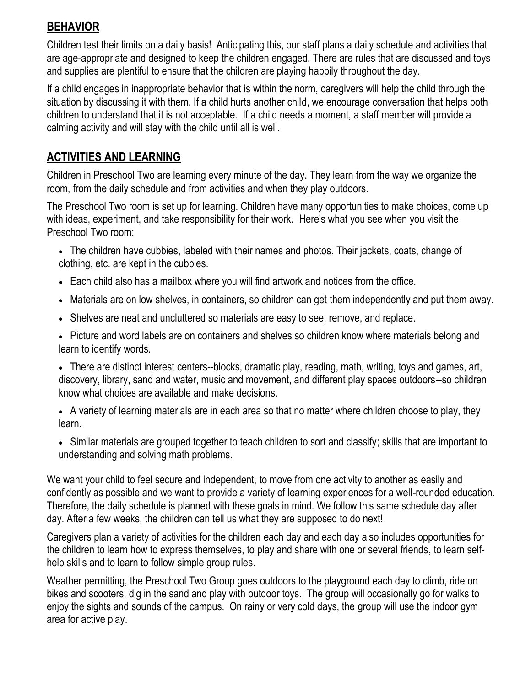#### **BEHAVIOR**

Children test their limits on a daily basis! Anticipating this, our staff plans a daily schedule and activities that are age-appropriate and designed to keep the children engaged. There are rules that are discussed and toys and supplies are plentiful to ensure that the children are playing happily throughout the day.

If a child engages in inappropriate behavior that is within the norm, caregivers will help the child through the situation by discussing it with them. If a child hurts another child, we encourage conversation that helps both children to understand that it is not acceptable. If a child needs a moment, a staff member will provide a calming activity and will stay with the child until all is well.

#### **ACTIVITIES AND LEARNING**

Children in Preschool Two are learning every minute of the day. They learn from the way we organize the room, from the daily schedule and from activities and when they play outdoors.

The Preschool Two room is set up for learning. Children have many opportunities to make choices, come up with ideas, experiment, and take responsibility for their work. Here's what you see when you visit the Preschool Two room:

- The children have cubbies, labeled with their names and photos. Their jackets, coats, change of clothing, etc. are kept in the cubbies.
- Each child also has a mailbox where you will find artwork and notices from the office.
- Materials are on low shelves, in containers, so children can get them independently and put them away.
- Shelves are neat and uncluttered so materials are easy to see, remove, and replace.
- Picture and word labels are on containers and shelves so children know where materials belong and learn to identify words.

 There are distinct interest centers--blocks, dramatic play, reading, math, writing, toys and games, art, discovery, library, sand and water, music and movement, and different play spaces outdoors--so children know what choices are available and make decisions.

 A variety of learning materials are in each area so that no matter where children choose to play, they learn.

 Similar materials are grouped together to teach children to sort and classify; skills that are important to understanding and solving math problems.

We want your child to feel secure and independent, to move from one activity to another as easily and confidently as possible and we want to provide a variety of learning experiences for a well-rounded education. Therefore, the daily schedule is planned with these goals in mind. We follow this same schedule day after day. After a few weeks, the children can tell us what they are supposed to do next!

Caregivers plan a variety of activities for the children each day and each day also includes opportunities for the children to learn how to express themselves, to play and share with one or several friends, to learn selfhelp skills and to learn to follow simple group rules.

Weather permitting, the Preschool Two Group goes outdoors to the playground each day to climb, ride on bikes and scooters, dig in the sand and play with outdoor toys. The group will occasionally go for walks to enjoy the sights and sounds of the campus. On rainy or very cold days, the group will use the indoor gym area for active play.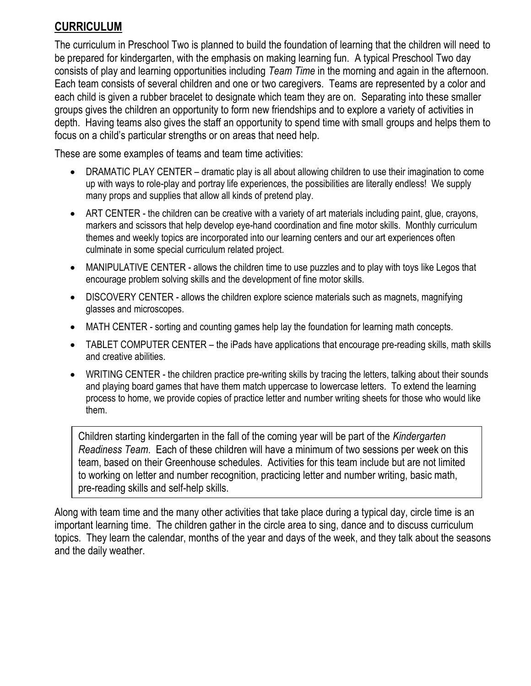### **CURRICULUM**

The curriculum in Preschool Two is planned to build the foundation of learning that the children will need to be prepared for kindergarten, with the emphasis on making learning fun. A typical Preschool Two day consists of play and learning opportunities including *Team Time* in the morning and again in the afternoon. Each team consists of several children and one or two caregivers. Teams are represented by a color and each child is given a rubber bracelet to designate which team they are on. Separating into these smaller groups gives the children an opportunity to form new friendships and to explore a variety of activities in depth. Having teams also gives the staff an opportunity to spend time with small groups and helps them to focus on a child's particular strengths or on areas that need help.

These are some examples of teams and team time activities:

- DRAMATIC PLAY CENTER dramatic play is all about allowing children to use their imagination to come up with ways to role-play and portray life experiences, the possibilities are literally endless! We supply many props and supplies that allow all kinds of pretend play.
- ART CENTER the children can be creative with a variety of art materials including paint, glue, crayons, markers and scissors that help develop eye-hand coordination and fine motor skills. Monthly curriculum themes and weekly topics are incorporated into our learning centers and our art experiences often culminate in some special curriculum related project.
- MANIPULATIVE CENTER allows the children time to use puzzles and to play with toys like Legos that encourage problem solving skills and the development of fine motor skills.
- DISCOVERY CENTER allows the children explore science materials such as magnets, magnifying glasses and microscopes.
- MATH CENTER sorting and counting games help lay the foundation for learning math concepts.
- TABLET COMPUTER CENTER the iPads have applications that encourage pre-reading skills, math skills and creative abilities.
- WRITING CENTER the children practice pre-writing skills by tracing the letters, talking about their sounds and playing board games that have them match uppercase to lowercase letters. To extend the learning process to home, we provide copies of practice letter and number writing sheets for those who would like them.

Children starting kindergarten in the fall of the coming year will be part of the *Kindergarten Readiness Team*. Each of these children will have a minimum of two sessions per week on this team, based on their Greenhouse schedules. Activities for this team include but are not limited to working on letter and number recognition, practicing letter and number writing, basic math, pre-reading skills and self-help skills.

Along with team time and the many other activities that take place during a typical day, circle time is an important learning time. The children gather in the circle area to sing, dance and to discuss curriculum topics. They learn the calendar, months of the year and days of the week, and they talk about the seasons and the daily weather.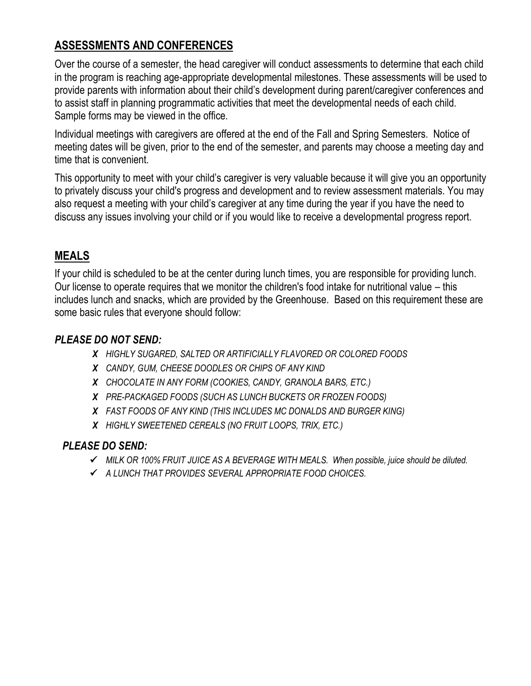## **ASSESSMENTS AND CONFERENCES**

Over the course of a semester, the head caregiver will conduct assessments to determine that each child in the program is reaching age-appropriate developmental milestones. These assessments will be used to provide parents with information about their child's development during parent/caregiver conferences and to assist staff in planning programmatic activities that meet the developmental needs of each child. Sample forms may be viewed in the office.

Individual meetings with caregivers are offered at the end of the Fall and Spring Semesters. Notice of meeting dates will be given, prior to the end of the semester, and parents may choose a meeting day and time that is convenient.

This opportunity to meet with your child's caregiver is very valuable because it will give you an opportunity to privately discuss your child's progress and development and to review assessment materials. You may also request a meeting with your child's caregiver at any time during the year if you have the need to discuss any issues involving your child or if you would like to receive a developmental progress report.

### **MEALS**

If your child is scheduled to be at the center during lunch times, you are responsible for providing lunch. Our license to operate requires that we monitor the children's food intake for nutritional value – this includes lunch and snacks, which are provided by the Greenhouse. Based on this requirement these are some basic rules that everyone should follow:

#### *PLEASE DO NOT SEND:*

- *X HIGHLY SUGARED, SALTED OR ARTIFICIALLY FLAVORED OR COLORED FOODS*
- *X CANDY, GUM, CHEESE DOODLES OR CHIPS OF ANY KIND*
- *X CHOCOLATE IN ANY FORM (COOKIES, CANDY, GRANOLA BARS, ETC.)*
- *X PRE-PACKAGED FOODS (SUCH AS LUNCH BUCKETS OR FROZEN FOODS)*
- *X FAST FOODS OF ANY KIND (THIS INCLUDES MC DONALDS AND BURGER KING)*
- *X HIGHLY SWEETENED CEREALS (NO FRUIT LOOPS, TRIX, ETC.)*

#### *PLEASE DO SEND:*

- *MILK OR 100% FRUIT JUICE AS A BEVERAGE WITH MEALS. When possible, juice should be diluted.*
- *A LUNCH THAT PROVIDES SEVERAL APPROPRIATE FOOD CHOICES.*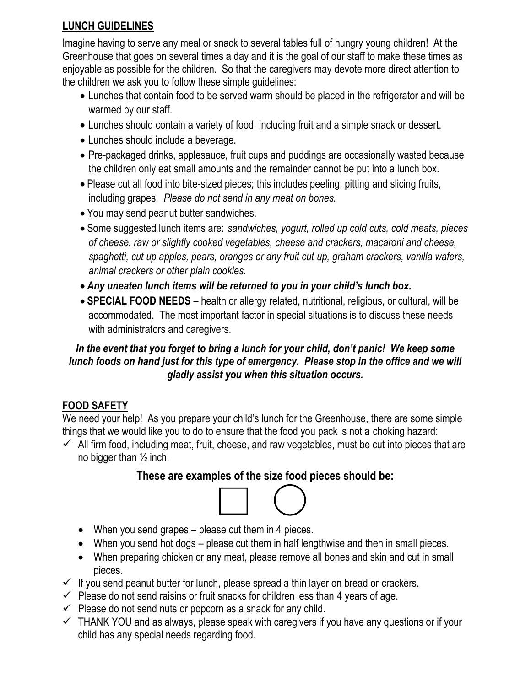#### **LUNCH GUIDELINES**

Imagine having to serve any meal or snack to several tables full of hungry young children! At the Greenhouse that goes on several times a day and it is the goal of our staff to make these times as enjoyable as possible for the children. So that the caregivers may devote more direct attention to the children we ask you to follow these simple guidelines:

- Lunches that contain food to be served warm should be placed in the refrigerator and will be warmed by our staff.
- Lunches should contain a variety of food, including fruit and a simple snack or dessert.
- Lunches should include a beverage.
- Pre-packaged drinks, applesauce, fruit cups and puddings are occasionally wasted because the children only eat small amounts and the remainder cannot be put into a lunch box.
- Please cut all food into bite-sized pieces; this includes peeling, pitting and slicing fruits, including grapes. *Please do not send in any meat on bones.*
- You may send peanut butter sandwiches.
- Some suggested lunch items are: *sandwiches, yogurt, rolled up cold cuts, cold meats, pieces of cheese, raw or slightly cooked vegetables, cheese and crackers, macaroni and cheese, spaghetti, cut up apples, pears, oranges or any fruit cut up, graham crackers, vanilla wafers, animal crackers or other plain cookies.*
- *Any uneaten lunch items will be returned to you in your child's lunch box.*
- **SPECIAL FOOD NEEDS** health or allergy related, nutritional, religious, or cultural, will be accommodated. The most important factor in special situations is to discuss these needs with administrators and caregivers.

#### *In the event that you forget to bring a lunch for your child, don't panic! We keep some lunch foods on hand just for this type of emergency. Please stop in the office and we will gladly assist you when this situation occurs.*

## **FOOD SAFETY**

We need your help! As you prepare your child's lunch for the Greenhouse, there are some simple things that we would like you to do to ensure that the food you pack is not a choking hazard:

 $\checkmark$  All firm food, including meat, fruit, cheese, and raw vegetables, must be cut into pieces that are no bigger than ½ inch.

## **These are examples of the size food pieces should be:**



- When you send grapes please cut them in 4 pieces.
- When you send hot dogs please cut them in half lengthwise and then in small pieces.
- When preparing chicken or any meat, please remove all bones and skin and cut in small pieces.
- $\checkmark$  If you send peanut butter for lunch, please spread a thin layer on bread or crackers.
- $\checkmark$  Please do not send raisins or fruit snacks for children less than 4 years of age.
- $\checkmark$  Please do not send nuts or popcorn as a snack for any child.
- $\checkmark$  THANK YOU and as always, please speak with caregivers if you have any questions or if your child has any special needs regarding food.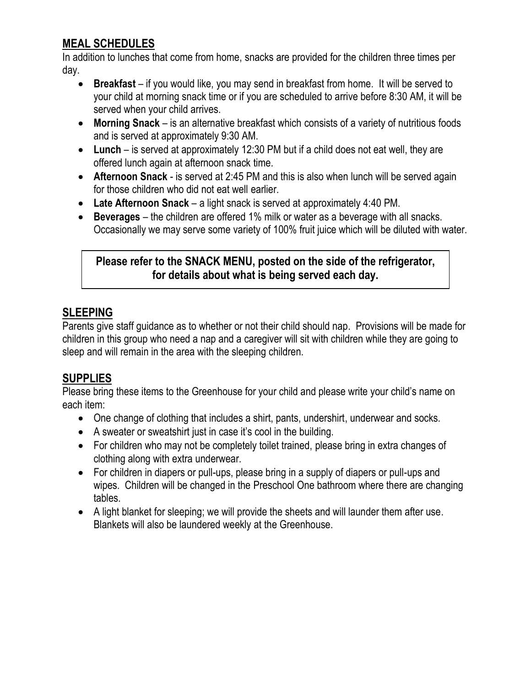## **MEAL SCHEDULES**

In addition to lunches that come from home, snacks are provided for the children three times per day.

- **Breakfast** if you would like, you may send in breakfast from home. It will be served to your child at morning snack time or if you are scheduled to arrive before 8:30 AM, it will be served when your child arrives.
- **Morning Snack**  is an alternative breakfast which consists of a variety of nutritious foods and is served at approximately 9:30 AM.
- **Lunch** is served at approximately 12:30 PM but if a child does not eat well, they are offered lunch again at afternoon snack time.
- **Afternoon Snack** is served at 2:45 PM and this is also when lunch will be served again for those children who did not eat well earlier.
- **Late Afternoon Snack** a light snack is served at approximately 4:40 PM.
- **Beverages** the children are offered 1% milk or water as a beverage with all snacks. Occasionally we may serve some variety of 100% fruit juice which will be diluted with water.

#### **Please refer to the SNACK MENU, posted on the side of the refrigerator, for details about what is being served each day.**

## **SLEEPING**

Parents give staff guidance as to whether or not their child should nap. Provisions will be made for children in this group who need a nap and a caregiver will sit with children while they are going to sleep and will remain in the area with the sleeping children.

## **SUPPLIES**

Please bring these items to the Greenhouse for your child and please write your child's name on each item:

- One change of clothing that includes a shirt, pants, undershirt, underwear and socks.
- A sweater or sweatshirt just in case it's cool in the building.
- For children who may not be completely toilet trained, please bring in extra changes of clothing along with extra underwear.
- For children in diapers or pull-ups, please bring in a supply of diapers or pull-ups and wipes. Children will be changed in the Preschool One bathroom where there are changing tables.
- A light blanket for sleeping; we will provide the sheets and will launder them after use. Blankets will also be laundered weekly at the Greenhouse.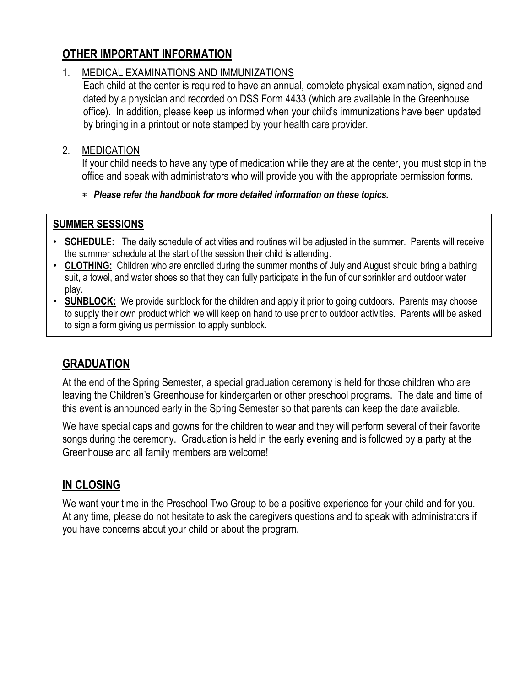### **OTHER IMPORTANT INFORMATION**

#### 1. MEDICAL EXAMINATIONS AND IMMUNIZATIONS

Each child at the center is required to have an annual, complete physical examination, signed and dated by a physician and recorded on DSS Form 4433 (which are available in the Greenhouse office). In addition, please keep us informed when your child's immunizations have been updated by bringing in a printout or note stamped by your health care provider.

#### 2. MEDICATION

If your child needs to have any type of medication while they are at the center, you must stop in the office and speak with administrators who will provide you with the appropriate permission forms.

*Please refer the handbook for more detailed information on these topics.*

#### **SUMMER SESSIONS**

- **SCHEDULE:** The daily schedule of activities and routines will be adjusted in the summer. Parents will receive the summer schedule at the start of the session their child is attending.
- **CLOTHING:** Children who are enrolled during the summer months of July and August should bring a bathing suit, a towel, and water shoes so that they can fully participate in the fun of our sprinkler and outdoor water play.
- **SUNBLOCK:** We provide sunblock for the children and apply it prior to going outdoors. Parents may choose to supply their own product which we will keep on hand to use prior to outdoor activities. Parents will be asked to sign a form giving us permission to apply sunblock.

### **GRADUATION**

•

At the end of the Spring Semester, a special graduation ceremony is held for those children who are leaving the Children's Greenhouse for kindergarten or other preschool programs. The date and time of this event is announced early in the Spring Semester so that parents can keep the date available.

We have special caps and gowns for the children to wear and they will perform several of their favorite songs during the ceremony. Graduation is held in the early evening and is followed by a party at the Greenhouse and all family members are welcome!

### **IN CLOSING**

We want your time in the Preschool Two Group to be a positive experience for your child and for you. At any time, please do not hesitate to ask the caregivers questions and to speak with administrators if you have concerns about your child or about the program.